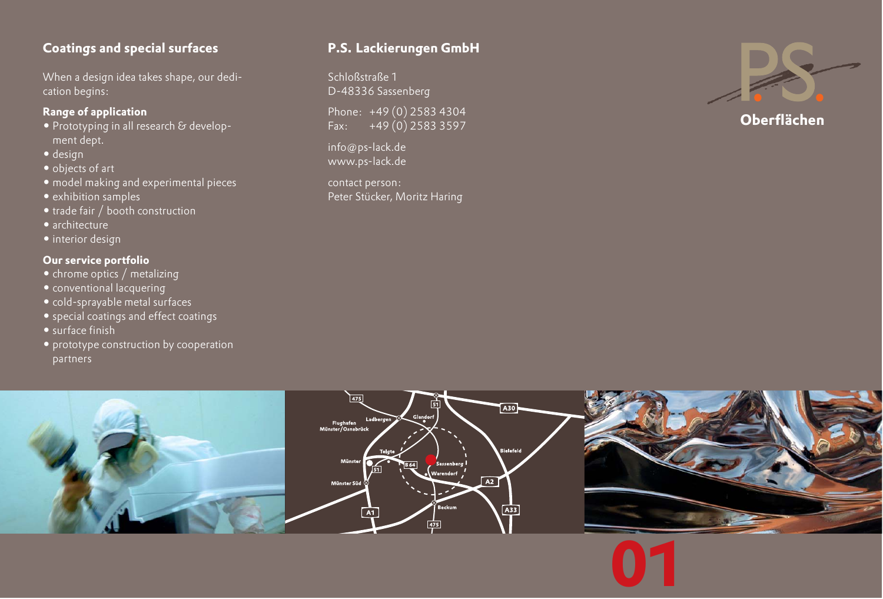## **Coatings and special surfaces**

When a design idea takes shape, our dedication begins:

### **Range of application**

- Prototyping in all research & development dept.
- design
- objects of art
- model making and experimental pieces
- exhibition samples
- trade fair / booth construction
- architecture
- interior design

### **Our service portfolio**

- chrome optics / metalizing
- conventional lacquering
- cold-sprayable metal surfaces
- special coatings and effect coatings
- surface finish
- prototype construction by cooperation partners

## **P.S. Lackierungen GmbH**

Schloßstraße 1 D-48336 Sassenberg

Phone: +49 (0) 2583 4304 Fax: +49 (0) 2583 3597

info@ps-lack.de www.ps-lack.de

contact person: Peter Stücker, Moritz Haring



**Oberflächen**

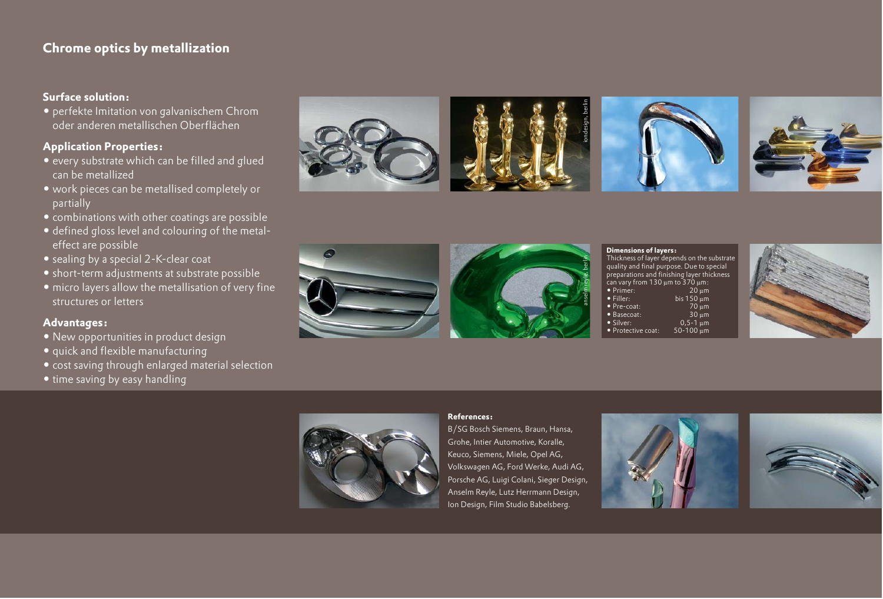## **Chrome optics by metallization**

#### **Surface solution:**

- perfekte Imitation von galvanischem Chrom oder anderen metallischen Oberflächen

#### **Application Properties:**

- every substrate which can be filled and glued can be metallized
- work pieces can be metallised completely or partially
- combinations with other coatings are possible
- defined gloss level and colouring of the metaleffect are possible
- sealing by a special 2-K-clear coat
- short-term adjustments at substrate possible
- micro layers allow the metallisation of very fine structures or letters

#### **Advantages:**

- New opportunities in product design
- quick and flexible manufacturing
- cost saving through enlarged material selection
- time saving by easy handling













#### **Dimensions of layers:**

Thickness of layer depends on the substrate quality and final purpose. Due to special preparations and finishing layer thickness  $\frac{1}{\pi}$  can vary from 130  $\mu$ m to 370  $\mu$ m:<br>• Primer: 20  $\mu$ m - Primer: 20 µm · Filler: bis 150  $\mu$ m<br>70  $\mu$ m - Pre-coat: 70 µm - Basecoat: 30 µm • Silver:  $0,5$ -1  $\mu$ m<br>50-100  $\mu$ m • Protective coat: 50-100 µm





#### **References:**

B/SG Bosch Siemens, Braun, Hansa, Grohe, Intier Automotive, Koralle, Keuco, Siemens, Miele, Opel AG, Volkswagen AG, Ford Werke, Audi AG, Porsche AG, Luigi Colani, Sieger Design, Anselm Reyle, Lutz Herrmann Design, Ion Design, Film Studio Babelsberg.